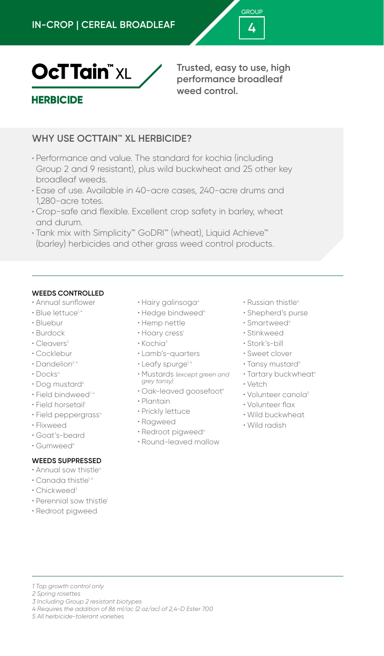



**Trusted, easy to use, high performance broadleaf weed control.**

# **HERBICIDE**

# **WHY USE OCTTAIN™ XL HERBICIDE?**

- Performance and value. The standard for kochia (including Group 2 and 9 resistant), plus wild buckwheat and 25 other key broadleaf weeds.
- Ease of use. Available in 40-acre cases, 240-acre drums and 1,280-acre totes.
- Crop-safe and flexible. Excellent crop safety in barley, wheat and durum.
- Tank mix with Simplicity™ GoDRI™ (wheat), Liquid Achieve™ (barley) herbicides and other grass weed control products.

### **WEEDS CONTROLLED**

- Annual sunflower
- Blue lettuce<sup>1,4</sup>
- Bluebur
- Burdock
- $\cdot$  Cleavers<sup>3</sup>
- Cocklebur
- Dandelion<sup>2, 4</sup>
- Docks<sup>4</sup>
- $\cdot$  Dog mustard<sup>4</sup>
- $\cdot$  Field bindweed<sup>1,4</sup>
- Field horsetail<sup>1</sup>
- Field peppergrass<sup>4</sup>
- Flixweed
- Goat's-beard
- Gumweed<sup>4</sup>

## **WEEDS SUPPRESSED**

- Annual sow thistle<sup>4</sup>
- Canada thistle<sup>1,4</sup>
- Chickweed<sup>3</sup>
- Perennial sow thistle<sup>1</sup>
- Redroot pigweed
- Hairy galinsoga<sup>4</sup>
- Hedge bindweed<sup>4</sup>
- Hemp nettle
- Hoary cress<sup>1</sup>
- Kochia<sup>3</sup>
- Lamb's-quarters
- $\cdot$  Leafy spurge<sup> $1, 4$ </sup>
- Mustards *(except green and grey tansy)*
- $\cdot$  Oak-leaved goosefoot $\cdot$
- Plantain
- Prickly lettuce
- Ragweed
- Redroot pigweed<sup>4</sup>
- Round-leaved mallow
- Russian thistle<sup>4</sup>
- Shepherd's purse
- Smartweed<sup>4</sup>
- Stinkweed
- Stork's-bill
- Sweet clover
- Tansy mustard<sup>4</sup>
- Tartary buckwheat<sup>4</sup>
- Vetch
- Volunteer canola<sup>5</sup>
- Volunteer flax
- Wild buckwheat
- Wild radish

- *4 Requires the addition of 86 ml/ac (2 oz/ac) of 2,4-D Ester 700*
- *5 All herbicide-tolerant varieties*

*<sup>1</sup> Top growth control only*

*<sup>2</sup> Spring rosettes*

*<sup>3</sup> Including Group 2 resistant biotypes*